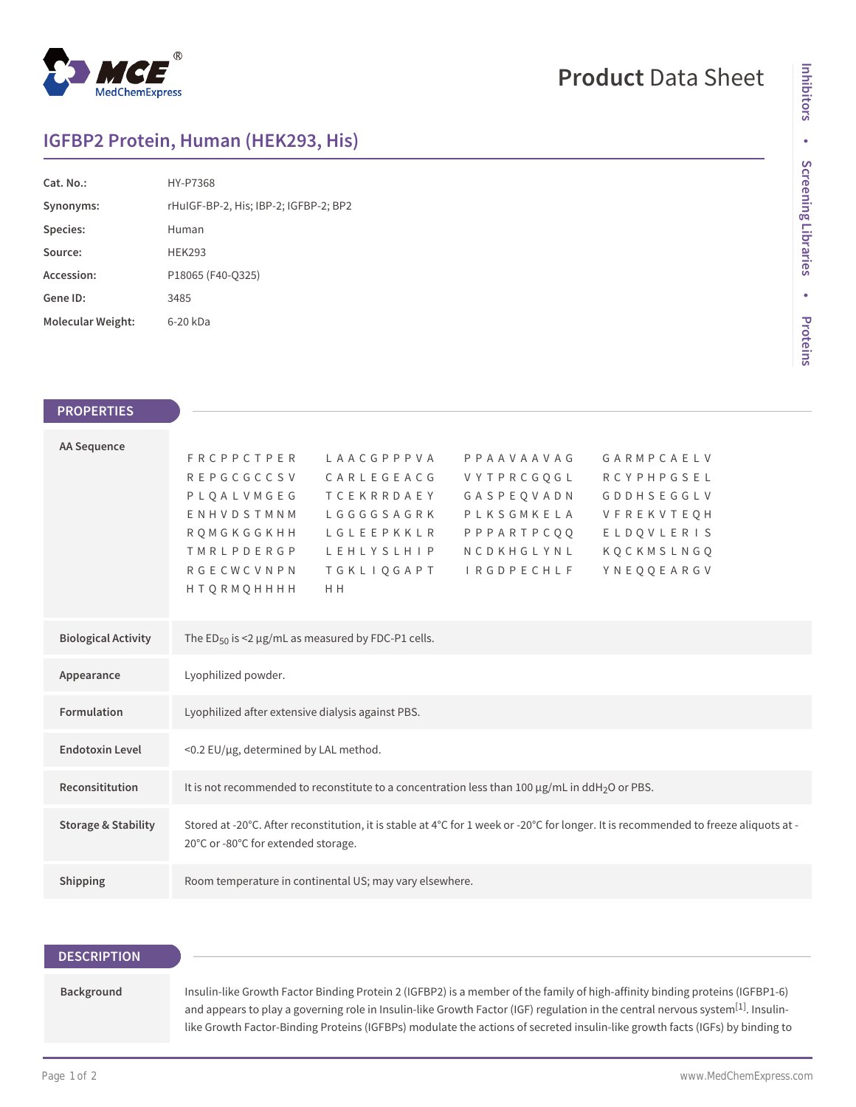

# **Product** Data Sheet

# **IGFBP2 Protein, Human (HEK293, His)**

| Cat. No.:         | HY-P7368                              |  |  |
|-------------------|---------------------------------------|--|--|
| Synonyms:         | rHuIGF-BP-2, His; IBP-2; IGFBP-2; BP2 |  |  |
| Species:          | Human                                 |  |  |
| Source:           | <b>HEK293</b>                         |  |  |
| Accession:        | P18065 (F40-Q325)                     |  |  |
| Gene ID:          | 3485                                  |  |  |
| Molecular Weight: | 6-20 kDa                              |  |  |

### **PROPERTIES**

| <b>AA Sequence</b>         |                                                                                                                                                                                                               |                       |            |                   |  |  |
|----------------------------|---------------------------------------------------------------------------------------------------------------------------------------------------------------------------------------------------------------|-----------------------|------------|-------------------|--|--|
|                            | <b>FRCPPCTPER</b>                                                                                                                                                                                             | LAACGPPPVA            | PPAAVAAVAG | GARMPCAELV        |  |  |
|                            | <b>REPGCGCCSV</b>                                                                                                                                                                                             | CARLEGEACG            | VYTPRCGOGL | <b>RCYPHPGSEL</b> |  |  |
|                            | PLQALVMGEG                                                                                                                                                                                                    | <b>TCEKRRDAEY</b>     | GASPEQVADN | <b>GDDHSEGGLV</b> |  |  |
|                            | ENHVDSTMNM                                                                                                                                                                                                    | LGGGGSAGRK            | PLKSGMKELA | VFREKVTEOH        |  |  |
|                            | RQMGKGGKHH                                                                                                                                                                                                    | LGLEEPKKLR            | PPPARTPCQQ | ELDQVLERIS        |  |  |
|                            | <b>TMRLPDERGP</b>                                                                                                                                                                                             | L E H L Y S L H I P   | NCDKHGLYNL | KQCKMSLNGQ        |  |  |
|                            | <b>RGECWCVNPN</b>                                                                                                                                                                                             | TGKLIQGAPT IRGDPECHLF |            | YNEQQEARGV        |  |  |
|                            | <b>HTQRMQHHHH</b>                                                                                                                                                                                             | H <sub>H</sub>        |            |                   |  |  |
|                            |                                                                                                                                                                                                               |                       |            |                   |  |  |
| <b>Biological Activity</b> | The ED <sub>50</sub> is <2 $\mu$ g/mL as measured by FDC-P1 cells.                                                                                                                                            |                       |            |                   |  |  |
|                            |                                                                                                                                                                                                               |                       |            |                   |  |  |
| Appearance                 | Lyophilized powder.                                                                                                                                                                                           |                       |            |                   |  |  |
| <b>Formulation</b>         | Lyophilized after extensive dialysis against PBS.                                                                                                                                                             |                       |            |                   |  |  |
|                            |                                                                                                                                                                                                               |                       |            |                   |  |  |
| <b>Endotoxin Level</b>     | <0.2 EU/µg, determined by LAL method.                                                                                                                                                                         |                       |            |                   |  |  |
| Reconsititution            | It is not recommended to reconstitute to a concentration less than 100 $\mu$ g/mL in ddH <sub>2</sub> O or PBS.                                                                                               |                       |            |                   |  |  |
|                            | <b>Storage &amp; Stability</b><br>Stored at -20°C. After reconstitution, it is stable at 4°C for 1 week or -20°C for longer. It is recommended to freeze aliquots at -<br>20°C or -80°C for extended storage. |                       |            |                   |  |  |
|                            |                                                                                                                                                                                                               |                       |            |                   |  |  |
| Shipping                   | Room temperature in continental US; may vary elsewhere.                                                                                                                                                       |                       |            |                   |  |  |
|                            |                                                                                                                                                                                                               |                       |            |                   |  |  |

## **DESCRIPTION**

#### **Background**

Insulin-like Growth Factor Binding Protein 2 (IGFBP2) is a member of the family of high-affinity binding proteins (IGFBP1-6) and appears to play a governing role in Insulin-like Growth Factor (IGF) regulation in the central nervous system<sup>[1]</sup>. Insulinlike Growth Factor-Binding Proteins (IGFBPs) modulate the actions of secreted insulin-like growth facts (IGFs) by binding to